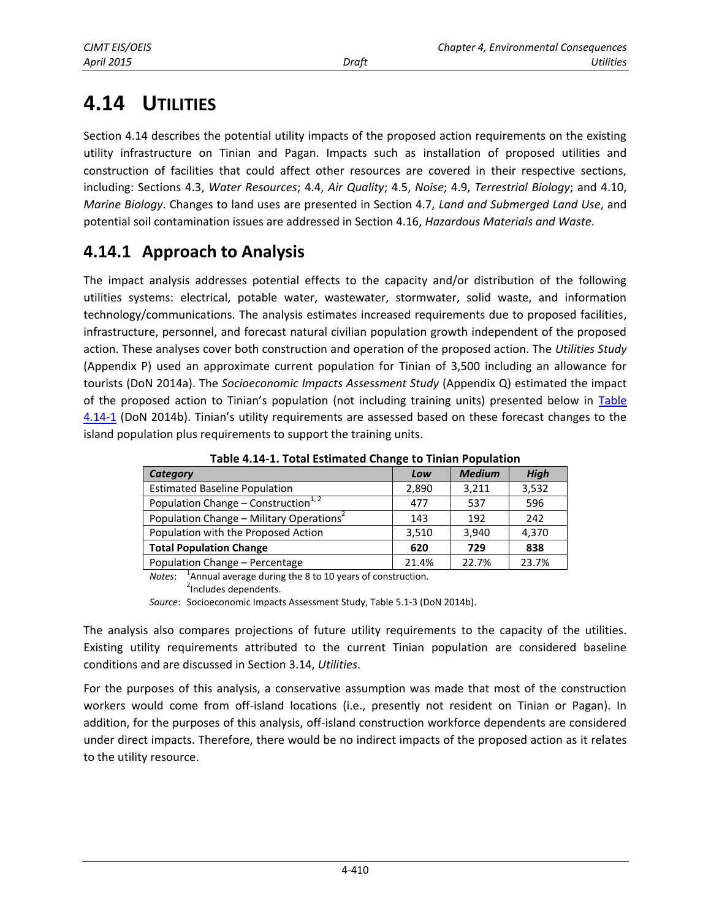# **4.14 UTILITIES**

Section 4.14 describes the potential utility impacts of the proposed action requirements on the existing utility infrastructure on Tinian and Pagan. Impacts such as installation of proposed utilities and construction of facilities that could affect other resources are covered in their respective sections, including: Sections 4.3, *Water Resources*; 4.4, *Air Quality*; 4.5, *Noise*; 4.9, *Terrestrial Biology*; and 4.10, *Marine Biology*. Changes to land uses are presented in Section 4.7, *Land and Submerged Land Use*, and potential soil contamination issues are addressed in Section 4.16, *Hazardous Materials and Waste*.

# **4.14.1 Approach to Analysis**

The impact analysis addresses potential effects to the capacity and/or distribution of the following utilities systems: electrical, potable water, wastewater, stormwater, solid waste, and information technology/communications. The analysis estimates increased requirements due to proposed facilities, infrastructure, personnel, and forecast natural civilian population growth independent of the proposed action. These analyses cover both construction and operation of the proposed action. The *Utilities Study* (Appendix P) used an approximate current population for Tinian of 3,500 including an allowance for tourists (DoN 2014a). The *Socioeconomic Impacts Assessment Study* (Appendix Q) estimated the impact of the proposed action to Tinian's population (not including training units) presented below in [Table](#page-0-0)  [4.14-1](#page-0-0) (DoN 2014b). Tinian's utility requirements are assessed based on these forecast changes to the island population plus requirements to support the training units.

| $1.0010$ $1.21$ $2.10001$ eventuation when $9000$ |       |               |             |
|---------------------------------------------------|-------|---------------|-------------|
| <b>Category</b>                                   | Low   | <b>Medium</b> | <b>High</b> |
| <b>Estimated Baseline Population</b>              | 2,890 | 3,211         | 3,532       |
| Population Change - Construction <sup>1,2</sup>   | 477   | 537           | 596         |
| Population Change - Military Operations           | 143   | 192           | 242         |
| Population with the Proposed Action               | 3.510 | 3.940         | 4,370       |
| <b>Total Population Change</b>                    | 620   | 729           | 838         |
| Population Change - Percentage                    | 21.4% | 22.7%         | 23.7%       |

<span id="page-0-0"></span>**Table 4.14-1. Total Estimated Change to Tinian Population** 

*Notes*: 1 Annual average during the 8 to 10 years of construction*.* <sup>2</sup>Includes dependents.

*Source*: Socioeconomic Impacts Assessment Study, Table 5.1-3 (DoN 2014b).

The analysis also compares projections of future utility requirements to the capacity of the utilities. Existing utility requirements attributed to the current Tinian population are considered baseline conditions and are discussed in Section 3.14, *Utilities*.

For the purposes of this analysis, a conservative assumption was made that most of the construction workers would come from off-island locations (i.e., presently not resident on Tinian or Pagan). In addition, for the purposes of this analysis, off-island construction workforce dependents are considered under direct impacts. Therefore, there would be no indirect impacts of the proposed action as it relates to the utility resource.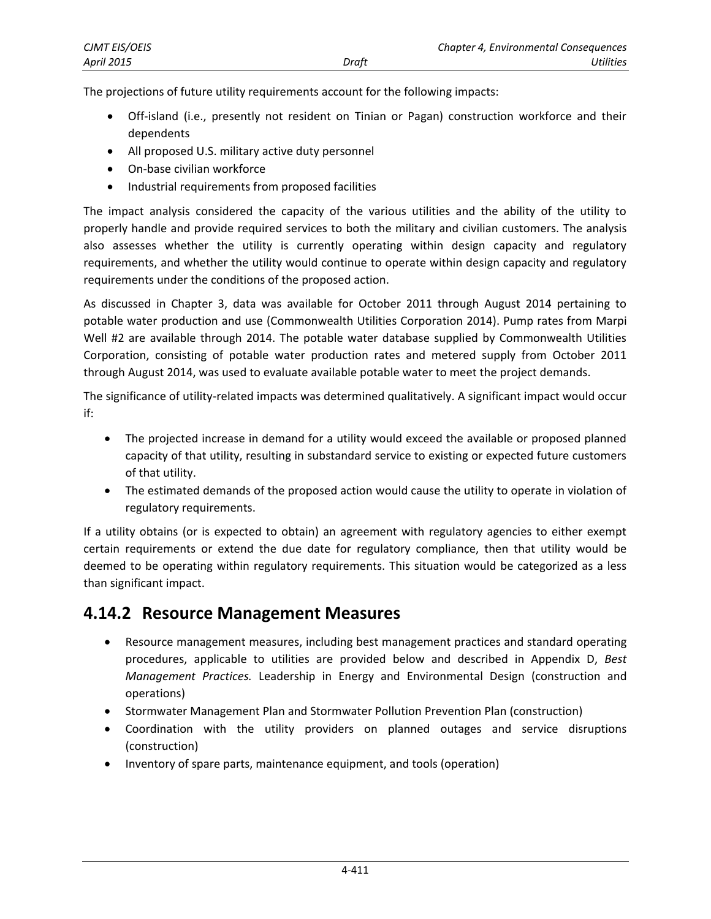| CJMT EIS/OEIS     |       | <b>Chapter 4, Environmental Consequences</b> |           |
|-------------------|-------|----------------------------------------------|-----------|
| <b>April 2015</b> | Draft |                                              | Utilities |

The projections of future utility requirements account for the following impacts:

- Off-island (i.e., presently not resident on Tinian or Pagan) construction workforce and their dependents
- All proposed U.S. military active duty personnel
- On-base civilian workforce
- Industrial requirements from proposed facilities

The impact analysis considered the capacity of the various utilities and the ability of the utility to properly handle and provide required services to both the military and civilian customers. The analysis also assesses whether the utility is currently operating within design capacity and regulatory requirements, and whether the utility would continue to operate within design capacity and regulatory requirements under the conditions of the proposed action.

As discussed in Chapter 3, data was available for October 2011 through August 2014 pertaining to potable water production and use (Commonwealth Utilities Corporation 2014). Pump rates from Marpi Well #2 are available through 2014. The potable water database supplied by Commonwealth Utilities Corporation, consisting of potable water production rates and metered supply from October 2011 through August 2014, was used to evaluate available potable water to meet the project demands.

The significance of utility-related impacts was determined qualitatively. A significant impact would occur if:

- The projected increase in demand for a utility would exceed the available or proposed planned capacity of that utility, resulting in substandard service to existing or expected future customers of that utility.
- The estimated demands of the proposed action would cause the utility to operate in violation of regulatory requirements.

If a utility obtains (or is expected to obtain) an agreement with regulatory agencies to either exempt certain requirements or extend the due date for regulatory compliance, then that utility would be deemed to be operating within regulatory requirements. This situation would be categorized as a less than significant impact.

### **4.14.2 Resource Management Measures**

- Resource management measures, including best management practices and standard operating procedures, applicable to utilities are provided below and described in Appendix D, *Best Management Practices.* Leadership in Energy and Environmental Design (construction and operations)
- Stormwater Management Plan and Stormwater Pollution Prevention Plan (construction)
- Coordination with the utility providers on planned outages and service disruptions (construction)
- Inventory of spare parts, maintenance equipment, and tools (operation)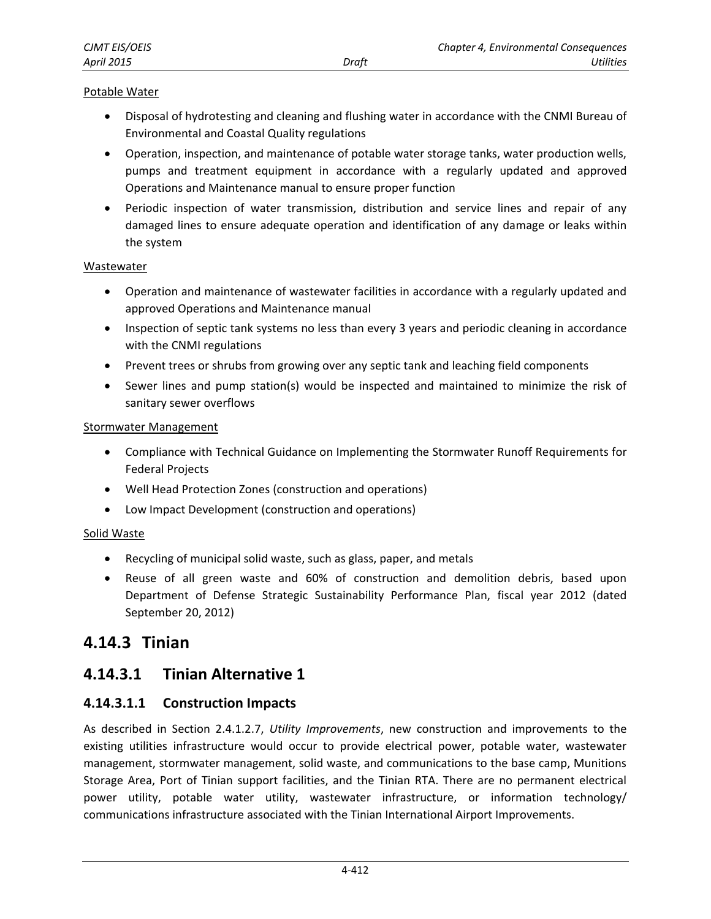#### Potable Water

- Disposal of hydrotesting and cleaning and flushing water in accordance with the CNMI Bureau of Environmental and Coastal Quality regulations
- Operation, inspection, and maintenance of potable water storage tanks, water production wells, pumps and treatment equipment in accordance with a regularly updated and approved Operations and Maintenance manual to ensure proper function
- Periodic inspection of water transmission, distribution and service lines and repair of any damaged lines to ensure adequate operation and identification of any damage or leaks within the system

#### **Wastewater**

- Operation and maintenance of wastewater facilities in accordance with a regularly updated and approved Operations and Maintenance manual
- Inspection of septic tank systems no less than every 3 years and periodic cleaning in accordance with the CNMI regulations
- Prevent trees or shrubs from growing over any septic tank and leaching field components
- Sewer lines and pump station(s) would be inspected and maintained to minimize the risk of sanitary sewer overflows

#### Stormwater Management

- Compliance with Technical Guidance on Implementing the Stormwater Runoff Requirements for Federal Projects
- Well Head Protection Zones (construction and operations)
- Low Impact Development (construction and operations)

#### Solid Waste

- Recycling of municipal solid waste, such as glass, paper, and metals
- Reuse of all green waste and 60% of construction and demolition debris, based upon Department of Defense Strategic Sustainability Performance Plan, fiscal year 2012 (dated September 20, 2012)

### **4.14.3 Tinian**

### <span id="page-2-0"></span>**4.14.3.1 Tinian Alternative 1**

### **4.14.3.1.1 Construction Impacts**

As described in Section 2.4.1.2.7, *Utility Improvements*, new construction and improvements to the existing utilities infrastructure would occur to provide electrical power, potable water, wastewater management, stormwater management, solid waste, and communications to the base camp, Munitions Storage Area, Port of Tinian support facilities, and the Tinian RTA. There are no permanent electrical power utility, potable water utility, wastewater infrastructure, or information technology/ communications infrastructure associated with the Tinian International Airport Improvements.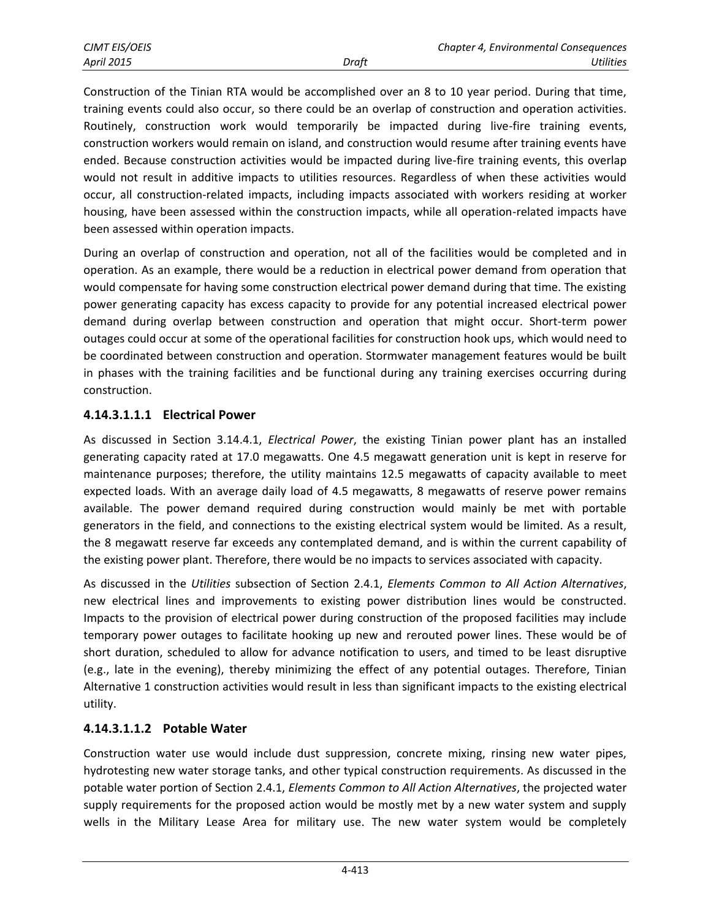Construction of the Tinian RTA would be accomplished over an 8 to 10 year period. During that time, training events could also occur, so there could be an overlap of construction and operation activities. Routinely, construction work would temporarily be impacted during live-fire training events, construction workers would remain on island, and construction would resume after training events have ended. Because construction activities would be impacted during live-fire training events, this overlap would not result in additive impacts to utilities resources. Regardless of when these activities would occur, all construction-related impacts, including impacts associated with workers residing at worker housing, have been assessed within the construction impacts, while all operation-related impacts have been assessed within operation impacts.

During an overlap of construction and operation, not all of the facilities would be completed and in operation. As an example, there would be a reduction in electrical power demand from operation that would compensate for having some construction electrical power demand during that time. The existing power generating capacity has excess capacity to provide for any potential increased electrical power demand during overlap between construction and operation that might occur. Short-term power outages could occur at some of the operational facilities for construction hook ups, which would need to be coordinated between construction and operation. Stormwater management features would be built in phases with the training facilities and be functional during any training exercises occurring during construction.

### **4.14.3.1.1.1 Electrical Power**

As discussed in Section 3.14.4.1, *Electrical Power*, the existing Tinian power plant has an installed generating capacity rated at 17.0 megawatts. One 4.5 megawatt generation unit is kept in reserve for maintenance purposes; therefore, the utility maintains 12.5 megawatts of capacity available to meet expected loads. With an average daily load of 4.5 megawatts, 8 megawatts of reserve power remains available. The power demand required during construction would mainly be met with portable generators in the field, and connections to the existing electrical system would be limited. As a result, the 8 megawatt reserve far exceeds any contemplated demand, and is within the current capability of the existing power plant. Therefore, there would be no impacts to services associated with capacity.

As discussed in the *Utilities* subsection of Section 2.4.1, *Elements Common to All Action Alternatives*, new electrical lines and improvements to existing power distribution lines would be constructed. Impacts to the provision of electrical power during construction of the proposed facilities may include temporary power outages to facilitate hooking up new and rerouted power lines. These would be of short duration, scheduled to allow for advance notification to users, and timed to be least disruptive (e.g., late in the evening), thereby minimizing the effect of any potential outages. Therefore, Tinian Alternative 1 construction activities would result in less than significant impacts to the existing electrical utility.

### **4.14.3.1.1.2 Potable Water**

Construction water use would include dust suppression, concrete mixing, rinsing new water pipes, hydrotesting new water storage tanks, and other typical construction requirements. As discussed in the potable water portion of Section 2.4.1, *Elements Common to All Action Alternatives*, the projected water supply requirements for the proposed action would be mostly met by a new water system and supply wells in the Military Lease Area for military use. The new water system would be completely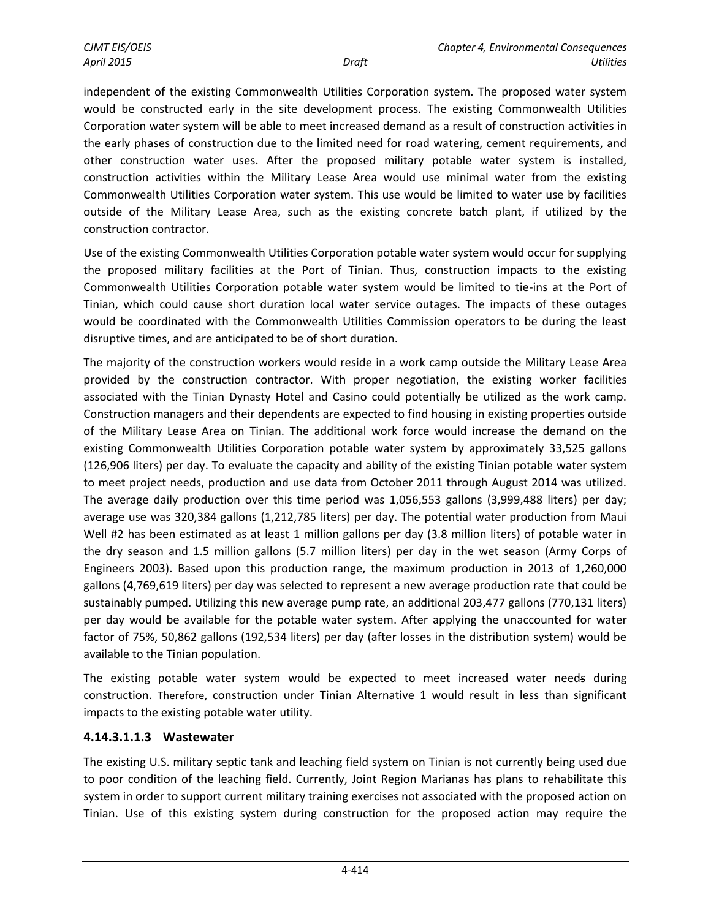independent of the existing Commonwealth Utilities Corporation system. The proposed water system would be constructed early in the site development process. The existing Commonwealth Utilities Corporation water system will be able to meet increased demand as a result of construction activities in the early phases of construction due to the limited need for road watering, cement requirements, and other construction water uses. After the proposed military potable water system is installed, construction activities within the Military Lease Area would use minimal water from the existing Commonwealth Utilities Corporation water system. This use would be limited to water use by facilities outside of the Military Lease Area, such as the existing concrete batch plant, if utilized by the construction contractor.

Use of the existing Commonwealth Utilities Corporation potable water system would occur for supplying the proposed military facilities at the Port of Tinian. Thus, construction impacts to the existing Commonwealth Utilities Corporation potable water system would be limited to tie-ins at the Port of Tinian, which could cause short duration local water service outages. The impacts of these outages would be coordinated with the Commonwealth Utilities Commission operators to be during the least disruptive times, and are anticipated to be of short duration.

The majority of the construction workers would reside in a work camp outside the Military Lease Area provided by the construction contractor. With proper negotiation, the existing worker facilities associated with the Tinian Dynasty Hotel and Casino could potentially be utilized as the work camp. Construction managers and their dependents are expected to find housing in existing properties outside of the Military Lease Area on Tinian. The additional work force would increase the demand on the existing Commonwealth Utilities Corporation potable water system by approximately 33,525 gallons (126,906 liters) per day. To evaluate the capacity and ability of the existing Tinian potable water system to meet project needs, production and use data from October 2011 through August 2014 was utilized. The average daily production over this time period was 1,056,553 gallons (3,999,488 liters) per day; average use was 320,384 gallons (1,212,785 liters) per day. The potential water production from Maui Well #2 has been estimated as at least 1 million gallons per day (3.8 million liters) of potable water in the dry season and 1.5 million gallons (5.7 million liters) per day in the wet season (Army Corps of Engineers 2003). Based upon this production range, the maximum production in 2013 of 1,260,000 gallons (4,769,619 liters) per day was selected to represent a new average production rate that could be sustainably pumped. Utilizing this new average pump rate, an additional 203,477 gallons (770,131 liters) per day would be available for the potable water system. After applying the unaccounted for water factor of 75%, 50,862 gallons (192,534 liters) per day (after losses in the distribution system) would be available to the Tinian population.

The existing potable water system would be expected to meet increased water needs during construction. Therefore, construction under Tinian Alternative 1 would result in less than significant impacts to the existing potable water utility.

### **4.14.3.1.1.3 Wastewater**

The existing U.S. military septic tank and leaching field system on Tinian is not currently being used due to poor condition of the leaching field. Currently, Joint Region Marianas has plans to rehabilitate this system in order to support current military training exercises not associated with the proposed action on Tinian. Use of this existing system during construction for the proposed action may require the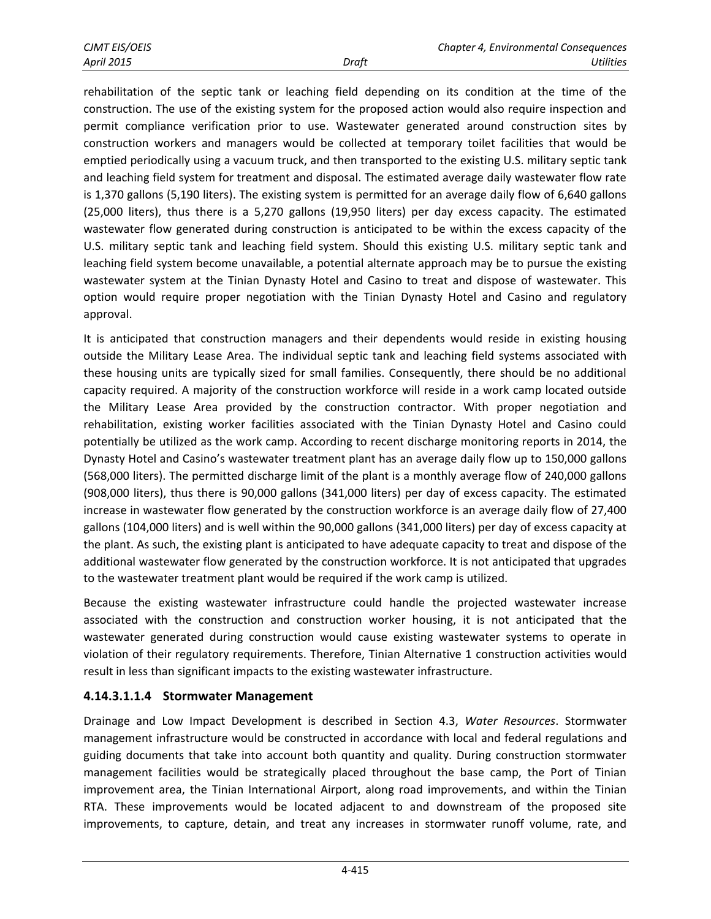rehabilitation of the septic tank or leaching field depending on its condition at the time of the construction. The use of the existing system for the proposed action would also require inspection and permit compliance verification prior to use. Wastewater generated around construction sites by construction workers and managers would be collected at temporary toilet facilities that would be emptied periodically using a vacuum truck, and then transported to the existing U.S. military septic tank and leaching field system for treatment and disposal. The estimated average daily wastewater flow rate is 1,370 gallons (5,190 liters). The existing system is permitted for an average daily flow of 6,640 gallons (25,000 liters), thus there is a 5,270 gallons (19,950 liters) per day excess capacity. The estimated wastewater flow generated during construction is anticipated to be within the excess capacity of the U.S. military septic tank and leaching field system. Should this existing U.S. military septic tank and leaching field system become unavailable, a potential alternate approach may be to pursue the existing wastewater system at the Tinian Dynasty Hotel and Casino to treat and dispose of wastewater. This option would require proper negotiation with the Tinian Dynasty Hotel and Casino and regulatory approval.

It is anticipated that construction managers and their dependents would reside in existing housing outside the Military Lease Area. The individual septic tank and leaching field systems associated with these housing units are typically sized for small families. Consequently, there should be no additional capacity required. A majority of the construction workforce will reside in a work camp located outside the Military Lease Area provided by the construction contractor. With proper negotiation and rehabilitation, existing worker facilities associated with the Tinian Dynasty Hotel and Casino could potentially be utilized as the work camp. According to recent discharge monitoring reports in 2014, the Dynasty Hotel and Casino's wastewater treatment plant has an average daily flow up to 150,000 gallons (568,000 liters). The permitted discharge limit of the plant is a monthly average flow of 240,000 gallons (908,000 liters), thus there is 90,000 gallons (341,000 liters) per day of excess capacity. The estimated increase in wastewater flow generated by the construction workforce is an average daily flow of 27,400 gallons (104,000 liters) and is well within the 90,000 gallons (341,000 liters) per day of excess capacity at the plant. As such, the existing plant is anticipated to have adequate capacity to treat and dispose of the additional wastewater flow generated by the construction workforce. It is not anticipated that upgrades to the wastewater treatment plant would be required if the work camp is utilized.

Because the existing wastewater infrastructure could handle the projected wastewater increase associated with the construction and construction worker housing, it is not anticipated that the wastewater generated during construction would cause existing wastewater systems to operate in violation of their regulatory requirements. Therefore, Tinian Alternative 1 construction activities would result in less than significant impacts to the existing wastewater infrastructure.

### **4.14.3.1.1.4 Stormwater Management**

Drainage and Low Impact Development is described in Section 4.3, *Water Resources*. Stormwater management infrastructure would be constructed in accordance with local and federal regulations and guiding documents that take into account both quantity and quality. During construction stormwater management facilities would be strategically placed throughout the base camp, the Port of Tinian improvement area, the Tinian International Airport, along road improvements, and within the Tinian RTA. These improvements would be located adjacent to and downstream of the proposed site improvements, to capture, detain, and treat any increases in stormwater runoff volume, rate, and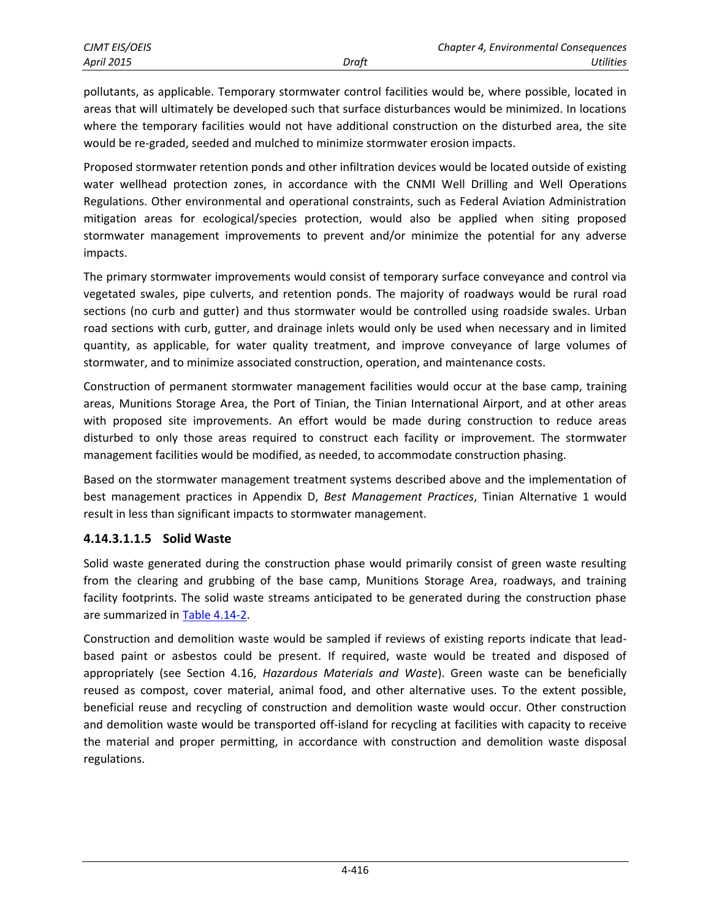pollutants, as applicable. Temporary stormwater control facilities would be, where possible, located in areas that will ultimately be developed such that surface disturbances would be minimized. In locations where the temporary facilities would not have additional construction on the disturbed area, the site would be re-graded, seeded and mulched to minimize stormwater erosion impacts.

Proposed stormwater retention ponds and other infiltration devices would be located outside of existing water wellhead protection zones, in accordance with the CNMI Well Drilling and Well Operations Regulations. Other environmental and operational constraints, such as Federal Aviation Administration mitigation areas for ecological/species protection, would also be applied when siting proposed stormwater management improvements to prevent and/or minimize the potential for any adverse impacts.

The primary stormwater improvements would consist of temporary surface conveyance and control via vegetated swales, pipe culverts, and retention ponds. The majority of roadways would be rural road sections (no curb and gutter) and thus stormwater would be controlled using roadside swales. Urban road sections with curb, gutter, and drainage inlets would only be used when necessary and in limited quantity, as applicable, for water quality treatment, and improve conveyance of large volumes of stormwater, and to minimize associated construction, operation, and maintenance costs.

Construction of permanent stormwater management facilities would occur at the base camp, training areas, Munitions Storage Area, the Port of Tinian, the Tinian International Airport, and at other areas with proposed site improvements. An effort would be made during construction to reduce areas disturbed to only those areas required to construct each facility or improvement. The stormwater management facilities would be modified, as needed, to accommodate construction phasing.

Based on the stormwater management treatment systems described above and the implementation of best management practices in Appendix D, *Best Management Practices*, Tinian Alternative 1 would result in less than significant impacts to stormwater management.

### **4.14.3.1.1.5 Solid Waste**

Solid waste generated during the construction phase would primarily consist of green waste resulting from the clearing and grubbing of the base camp, Munitions Storage Area, roadways, and training facility footprints. The solid waste streams anticipated to be generated during the construction phase are summarized in [Table 4.14-2.](#page-7-0)

Construction and demolition waste would be sampled if reviews of existing reports indicate that leadbased paint or asbestos could be present. If required, waste would be treated and disposed of appropriately (see Section 4.16, *Hazardous Materials and Waste*). Green waste can be beneficially reused as compost, cover material, animal food, and other alternative uses. To the extent possible, beneficial reuse and recycling of construction and demolition waste would occur. Other construction and demolition waste would be transported off-island for recycling at facilities with capacity to receive the material and proper permitting, in accordance with construction and demolition waste disposal regulations.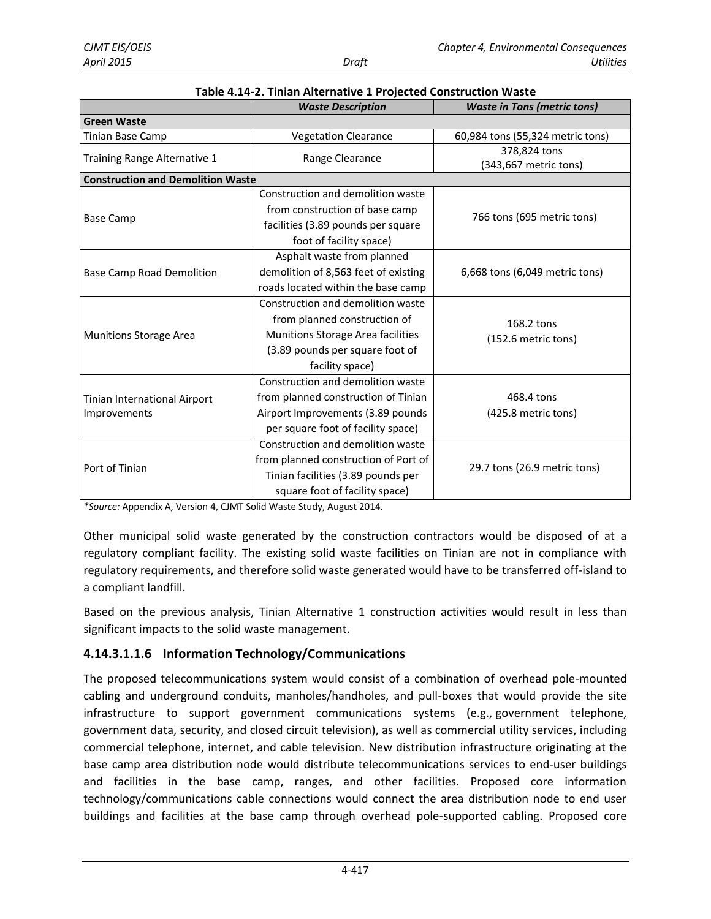|                                          | <b>Waste Description</b>             | <b>Waste in Tons (metric tons)</b>    |  |  |
|------------------------------------------|--------------------------------------|---------------------------------------|--|--|
| <b>Green Waste</b>                       |                                      |                                       |  |  |
| Tinian Base Camp                         | <b>Vegetation Clearance</b>          | 60,984 tons (55,324 metric tons)      |  |  |
| Training Range Alternative 1             | Range Clearance                      | 378,824 tons<br>(343,667 metric tons) |  |  |
| <b>Construction and Demolition Waste</b> |                                      |                                       |  |  |
|                                          | Construction and demolition waste    |                                       |  |  |
|                                          | from construction of base camp       |                                       |  |  |
| <b>Base Camp</b>                         | facilities (3.89 pounds per square   | 766 tons (695 metric tons)            |  |  |
|                                          | foot of facility space)              |                                       |  |  |
|                                          | Asphalt waste from planned           |                                       |  |  |
| <b>Base Camp Road Demolition</b>         | demolition of 8,563 feet of existing | 6,668 tons (6,049 metric tons)        |  |  |
|                                          | roads located within the base camp   |                                       |  |  |
|                                          | Construction and demolition waste    |                                       |  |  |
|                                          | from planned construction of         | 168.2 tons                            |  |  |
| <b>Munitions Storage Area</b>            | Munitions Storage Area facilities    | (152.6 metric tons)                   |  |  |
|                                          | (3.89 pounds per square foot of      |                                       |  |  |
|                                          | facility space)                      |                                       |  |  |
|                                          | Construction and demolition waste    |                                       |  |  |
| Tinian International Airport             | from planned construction of Tinian  | 468.4 tons                            |  |  |
| Improvements                             | Airport Improvements (3.89 pounds    | (425.8 metric tons)                   |  |  |
|                                          | per square foot of facility space)   |                                       |  |  |
|                                          | Construction and demolition waste    |                                       |  |  |
|                                          | from planned construction of Port of |                                       |  |  |
| Port of Tinian                           | Tinian facilities (3.89 pounds per   | 29.7 tons (26.9 metric tons)          |  |  |
|                                          | square foot of facility space)       |                                       |  |  |

<span id="page-7-0"></span>

| Table 4.14-2. Tinian Alternative 1 Projected Construction Waste |  |
|-----------------------------------------------------------------|--|
|-----------------------------------------------------------------|--|

*\*Source:* Appendix A, Version 4, CJMT Solid Waste Study, August 2014.

Other municipal solid waste generated by the construction contractors would be disposed of at a regulatory compliant facility. The existing solid waste facilities on Tinian are not in compliance with regulatory requirements, and therefore solid waste generated would have to be transferred off-island to a compliant landfill.

Based on the previous analysis, Tinian Alternative 1 construction activities would result in less than significant impacts to the solid waste management.

### **4.14.3.1.1.6 Information Technology/Communications**

The proposed telecommunications system would consist of a combination of overhead pole-mounted cabling and underground conduits, manholes/handholes, and pull-boxes that would provide the site infrastructure to support government communications systems (e.g., government telephone, government data, security, and closed circuit television), as well as commercial utility services, including commercial telephone, internet, and cable television. New distribution infrastructure originating at the base camp area distribution node would distribute telecommunications services to end-user buildings and facilities in the base camp, ranges, and other facilities. Proposed core information technology/communications cable connections would connect the area distribution node to end user buildings and facilities at the base camp through overhead pole-supported cabling. Proposed core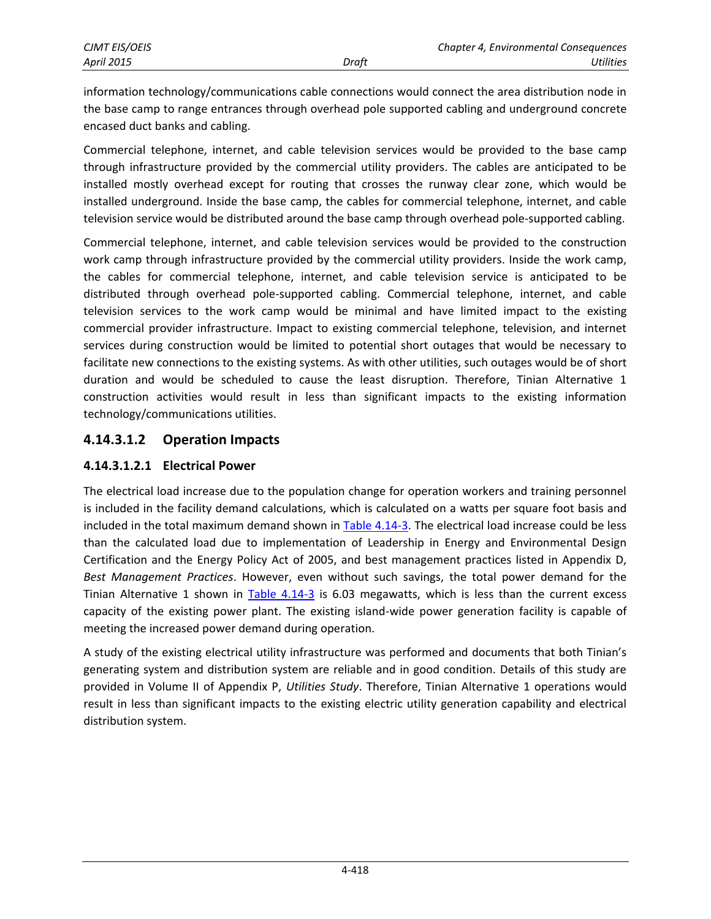information technology/communications cable connections would connect the area distribution node in the base camp to range entrances through overhead pole supported cabling and underground concrete encased duct banks and cabling.

Commercial telephone, internet, and cable television services would be provided to the base camp through infrastructure provided by the commercial utility providers. The cables are anticipated to be installed mostly overhead except for routing that crosses the runway clear zone, which would be installed underground. Inside the base camp, the cables for commercial telephone, internet, and cable television service would be distributed around the base camp through overhead pole-supported cabling.

Commercial telephone, internet, and cable television services would be provided to the construction work camp through infrastructure provided by the commercial utility providers. Inside the work camp, the cables for commercial telephone, internet, and cable television service is anticipated to be distributed through overhead pole-supported cabling. Commercial telephone, internet, and cable television services to the work camp would be minimal and have limited impact to the existing commercial provider infrastructure. Impact to existing commercial telephone, television, and internet services during construction would be limited to potential short outages that would be necessary to facilitate new connections to the existing systems. As with other utilities, such outages would be of short duration and would be scheduled to cause the least disruption. Therefore, Tinian Alternative 1 construction activities would result in less than significant impacts to the existing information technology/communications utilities.

### **4.14.3.1.2 Operation Impacts**

### **4.14.3.1.2.1 Electrical Power**

The electrical load increase due to the population change for operation workers and training personnel is included in the facility demand calculations, which is calculated on a watts per square foot basis and included in the total maximum demand shown in [Table 4.14-3.](#page-9-0) The electrical load increase could be less than the calculated load due to implementation of Leadership in Energy and Environmental Design Certification and the Energy Policy Act of 2005, and best management practices listed in Appendix D, *Best Management Practices*. However, even without such savings, the total power demand for the Tinian Alternative 1 shown in [Table 4.14-3](#page-9-0) is 6.03 megawatts, which is less than the current excess capacity of the existing power plant. The existing island-wide power generation facility is capable of meeting the increased power demand during operation.

A study of the existing electrical utility infrastructure was performed and documents that both Tinian's generating system and distribution system are reliable and in good condition. Details of this study are provided in Volume II of Appendix P, *Utilities Study*. Therefore, Tinian Alternative 1 operations would result in less than significant impacts to the existing electric utility generation capability and electrical distribution system.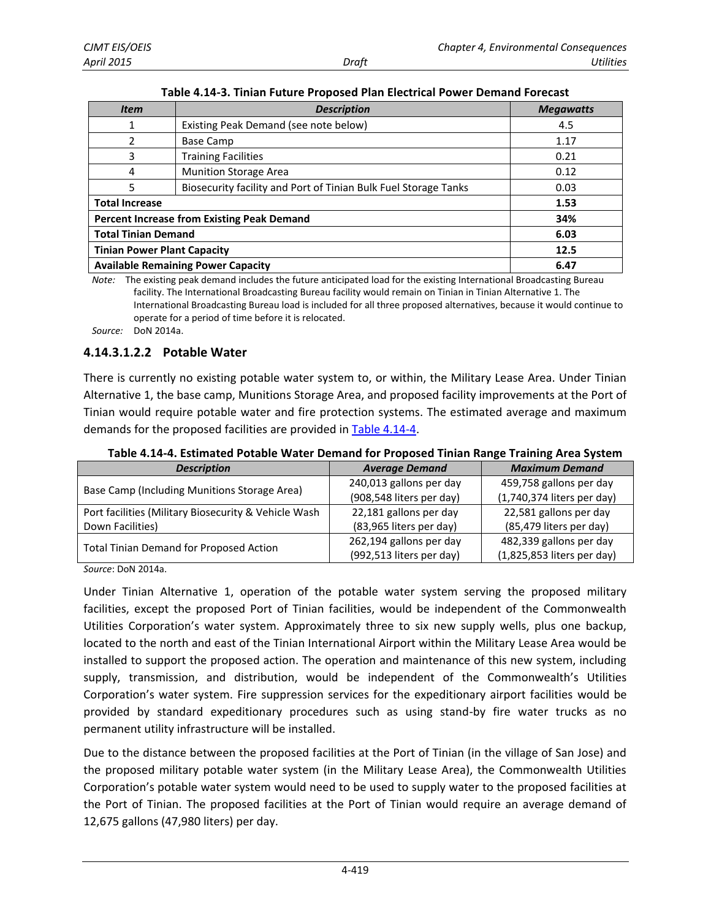| <b>Item</b>                               | <b>Description</b>                                              | <b>Megawatts</b> |
|-------------------------------------------|-----------------------------------------------------------------|------------------|
| 1                                         | Existing Peak Demand (see note below)                           | 4.5              |
| 2                                         | Base Camp                                                       | 1.17             |
| 3                                         | <b>Training Facilities</b>                                      | 0.21             |
| 4                                         | <b>Munition Storage Area</b>                                    | 0.12             |
| 5                                         | Biosecurity facility and Port of Tinian Bulk Fuel Storage Tanks | 0.03             |
| <b>Total Increase</b>                     |                                                                 | 1.53             |
|                                           | <b>Percent Increase from Existing Peak Demand</b>               | 34%              |
| <b>Total Tinian Demand</b>                |                                                                 | 6.03             |
| <b>Tinian Power Plant Capacity</b>        |                                                                 | 12.5             |
| <b>Available Remaining Power Capacity</b> |                                                                 | 6.47             |

<span id="page-9-0"></span>**Table 4.14-3. Tinian Future Proposed Plan Electrical Power Demand Forecast**

*Note:* The existing peak demand includes the future anticipated load for the existing International Broadcasting Bureau facility. The International Broadcasting Bureau facility would remain on Tinian in Tinian Alternative 1. The International Broadcasting Bureau load is included for all three proposed alternatives, because it would continue to operate for a period of time before it is relocated.

*Source:* DoN 2014a.

#### **4.14.3.1.2.2 Potable Water**

There is currently no existing potable water system to, or within, the Military Lease Area. Under Tinian Alternative 1, the base camp, Munitions Storage Area, and proposed facility improvements at the Port of Tinian would require potable water and fire protection systems. The estimated average and maximum demands for the proposed facilities are provided in [Table 4.14-4.](#page-9-1)

| <b>Description</b>                                   | <b>Average Demand</b>    | <b>Maximum Demand</b>      |
|------------------------------------------------------|--------------------------|----------------------------|
| Base Camp (Including Munitions Storage Area)         | 240,013 gallons per day  | 459,758 gallons per day    |
|                                                      | (908,548 liters per day) | (1,740,374 liters per day) |
| Port facilities (Military Biosecurity & Vehicle Wash | 22,181 gallons per day   | 22,581 gallons per day     |
| Down Facilities)                                     | (83,965 liters per day)  | (85,479 liters per day)    |
| <b>Total Tinian Demand for Proposed Action</b>       | 262,194 gallons per day  | 482,339 gallons per day    |
|                                                      | (992,513 liters per day) | (1,825,853 liters per day) |

<span id="page-9-1"></span>**Table 4.14-4. Estimated Potable Water Demand for Proposed Tinian Range Training Area System** 

*Source*: DoN 2014a.

Under Tinian Alternative 1, operation of the potable water system serving the proposed military facilities, except the proposed Port of Tinian facilities, would be independent of the Commonwealth Utilities Corporation's water system. Approximately three to six new supply wells, plus one backup, located to the north and east of the Tinian International Airport within the Military Lease Area would be installed to support the proposed action. The operation and maintenance of this new system, including supply, transmission, and distribution, would be independent of the Commonwealth's Utilities Corporation's water system. Fire suppression services for the expeditionary airport facilities would be provided by standard expeditionary procedures such as using stand-by fire water trucks as no permanent utility infrastructure will be installed.

Due to the distance between the proposed facilities at the Port of Tinian (in the village of San Jose) and the proposed military potable water system (in the Military Lease Area), the Commonwealth Utilities Corporation's potable water system would need to be used to supply water to the proposed facilities at the Port of Tinian. The proposed facilities at the Port of Tinian would require an average demand of 12,675 gallons (47,980 liters) per day.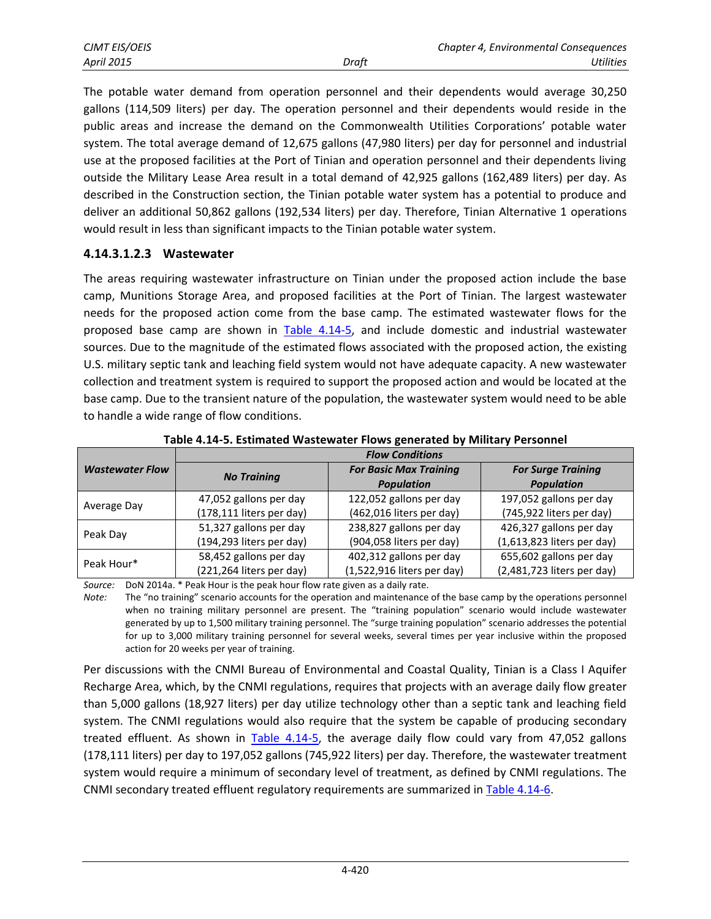| CJMT EIS/OEIS     |       | Chapter 4, Environmental Consequences |  |
|-------------------|-------|---------------------------------------|--|
| <b>April 2015</b> | Draft | Utilities                             |  |

The potable water demand from operation personnel and their dependents would average 30,250 gallons (114,509 liters) per day. The operation personnel and their dependents would reside in the public areas and increase the demand on the Commonwealth Utilities Corporations' potable water system. The total average demand of 12,675 gallons (47,980 liters) per day for personnel and industrial use at the proposed facilities at the Port of Tinian and operation personnel and their dependents living outside the Military Lease Area result in a total demand of 42,925 gallons (162,489 liters) per day. As described in the Construction section, the Tinian potable water system has a potential to produce and deliver an additional 50,862 gallons (192,534 liters) per day. Therefore, Tinian Alternative 1 operations would result in less than significant impacts to the Tinian potable water system.

#### **4.14.3.1.2.3 Wastewater**

The areas requiring wastewater infrastructure on Tinian under the proposed action include the base camp, Munitions Storage Area, and proposed facilities at the Port of Tinian. The largest wastewater needs for the proposed action come from the base camp. The estimated wastewater flows for the proposed base camp are shown in [Table 4.14-5,](#page-10-0) and include domestic and industrial wastewater sources. Due to the magnitude of the estimated flows associated with the proposed action, the existing U.S. military septic tank and leaching field system would not have adequate capacity. A new wastewater collection and treatment system is required to support the proposed action and would be located at the base camp. Due to the transient nature of the population, the wastewater system would need to be able to handle a wide range of flow conditions.

|                        |                          | <b>Flow Conditions</b>        |                            |  |  |
|------------------------|--------------------------|-------------------------------|----------------------------|--|--|
| <b>Wastewater Flow</b> | <b>No Training</b>       | <b>For Basic Max Training</b> | <b>For Surge Training</b>  |  |  |
|                        |                          | <b>Population</b>             | <b>Population</b>          |  |  |
|                        | 47,052 gallons per day   | 122,052 gallons per day       | 197,052 gallons per day    |  |  |
| Average Day            | (178,111 liters per day) | (462,016 liters per day)      | (745,922 liters per day)   |  |  |
|                        | 51,327 gallons per day   | 238,827 gallons per day       | 426,327 gallons per day    |  |  |
| Peak Day               | (194,293 liters per day) | (904,058 liters per day)      | (1,613,823 liters per day) |  |  |
| Peak Hour*             | 58,452 gallons per day   | 402,312 gallons per day       | 655,602 gallons per day    |  |  |
|                        | (221,264 liters per day) | (1,522,916 liters per day)    | (2,481,723 liters per day) |  |  |

<span id="page-10-0"></span>**Table 4.14-5. Estimated Wastewater Flows generated by Military Personnel** 

*Source:* DoN 2014a. \* Peak Hour is the peak hour flow rate given as a daily rate.

*Note:* The "no training" scenario accounts for the operation and maintenance of the base camp by the operations personnel when no training military personnel are present. The "training population" scenario would include wastewater generated by up to 1,500 military training personnel. The "surge training population" scenario addresses the potential for up to 3,000 military training personnel for several weeks, several times per year inclusive within the proposed action for 20 weeks per year of training.

Per discussions with the CNMI Bureau of Environmental and Coastal Quality, Tinian is a Class I Aquifer Recharge Area, which, by the CNMI regulations, requires that projects with an average daily flow greater than 5,000 gallons (18,927 liters) per day utilize technology other than a septic tank and leaching field system. The CNMI regulations would also require that the system be capable of producing secondary treated effluent. As shown in [Table 4.14-5,](#page-10-0) the average daily flow could vary from 47,052 gallons (178,111 liters) per day to 197,052 gallons (745,922 liters) per day. Therefore, the wastewater treatment system would require a minimum of secondary level of treatment, as defined by CNMI regulations. The CNMI secondary treated effluent regulatory requirements are summarized in [Table 4.14-6.](#page-11-0)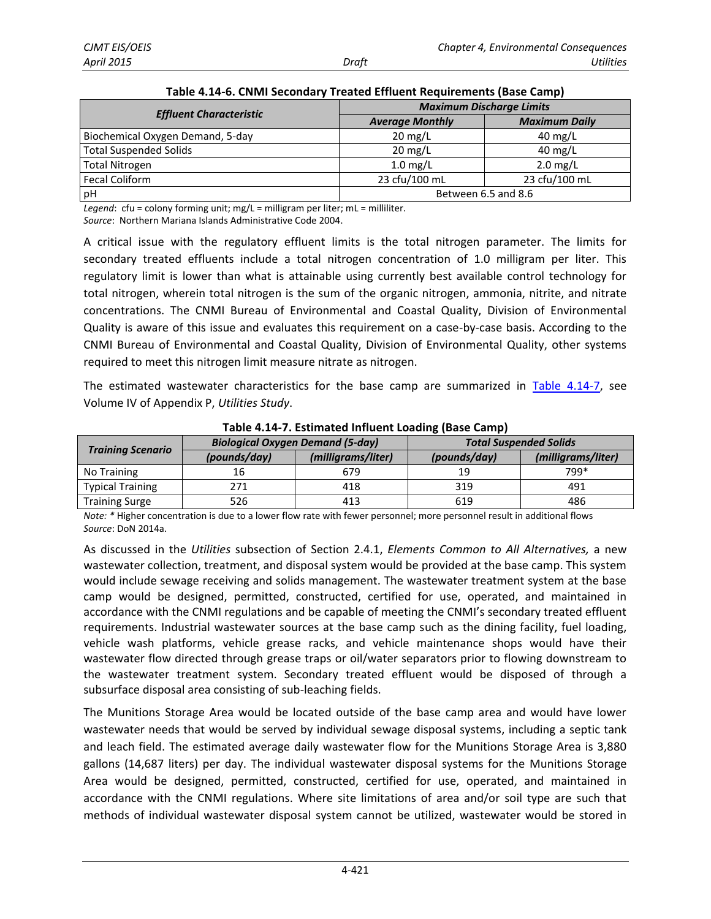|                                  | <b>Maximum Discharge Limits</b> |                      |  |
|----------------------------------|---------------------------------|----------------------|--|
| <b>Effluent Characteristic</b>   | <b>Average Monthly</b>          | <b>Maximum Daily</b> |  |
| Biochemical Oxygen Demand, 5-day | $20 \text{ mg/L}$               | $40 \text{ mg/L}$    |  |
| Total Suspended Solids           | $20 \text{ mg/L}$               | $40 \text{ mg/L}$    |  |
| Total Nitrogen                   | $1.0$ mg/L                      | $2.0$ mg/L           |  |
| <b>Fecal Coliform</b>            | 23 cfu/100 mL                   | 23 cfu/100 mL        |  |
| pH                               | Between 6.5 and 8.6             |                      |  |

<span id="page-11-0"></span>

| Table 4.14-6. CNMI Secondary Treated Effluent Requirements (Base Camp) |  |  |
|------------------------------------------------------------------------|--|--|
|                                                                        |  |  |

*Legend*: cfu = colony forming unit; mg/L = milligram per liter; mL = milliliter. *Source*: Northern Mariana Islands Administrative Code 2004.

A critical issue with the regulatory effluent limits is the total nitrogen parameter. The limits for secondary treated effluents include a total nitrogen concentration of 1.0 milligram per liter. This regulatory limit is lower than what is attainable using currently best available control technology for total nitrogen, wherein total nitrogen is the sum of the organic nitrogen, ammonia, nitrite, and nitrate concentrations. The CNMI Bureau of Environmental and Coastal Quality, Division of Environmental Quality is aware of this issue and evaluates this requirement on a case-by-case basis. According to the CNMI Bureau of Environmental and Coastal Quality, Division of Environmental Quality, other systems required to meet this nitrogen limit measure nitrate as nitrogen.

The estimated wastewater characteristics for the base camp are summarized in [Table 4.14-7,](#page-11-1) see Volume IV of Appendix P, *Utilities Study*.

|                          | <b>Biological Oxygen Demand (5-day)</b> |                    |              | <b>Total Suspended Solids</b> |
|--------------------------|-----------------------------------------|--------------------|--------------|-------------------------------|
| <b>Training Scenario</b> | (pounds/day)                            | (milligrams/liter) | (pounds/day) | (milligrams/liter)            |
| No Training              | 16                                      | 679                | 19           | 799*                          |
| <b>Typical Training</b>  | 271                                     | 418                | 319          | 491                           |
| <b>Training Surge</b>    | 526                                     | 413                | 619          | 486                           |

<span id="page-11-1"></span>**Table 4.14-7. Estimated Influent Loading (Base Camp)** 

*Note: \** Higher concentration is due to a lower flow rate with fewer personnel; more personnel result in additional flows *Source*: DoN 2014a.

As discussed in the *Utilities* subsection of Section 2.4.1, *Elements Common to All Alternatives,* a new wastewater collection, treatment, and disposal system would be provided at the base camp. This system would include sewage receiving and solids management. The wastewater treatment system at the base camp would be designed, permitted, constructed, certified for use, operated, and maintained in accordance with the CNMI regulations and be capable of meeting the CNMI's secondary treated effluent requirements. Industrial wastewater sources at the base camp such as the dining facility, fuel loading, vehicle wash platforms, vehicle grease racks, and vehicle maintenance shops would have their wastewater flow directed through grease traps or oil/water separators prior to flowing downstream to the wastewater treatment system. Secondary treated effluent would be disposed of through a subsurface disposal area consisting of sub-leaching fields.

The Munitions Storage Area would be located outside of the base camp area and would have lower wastewater needs that would be served by individual sewage disposal systems, including a septic tank and leach field. The estimated average daily wastewater flow for the Munitions Storage Area is 3,880 gallons (14,687 liters) per day. The individual wastewater disposal systems for the Munitions Storage Area would be designed, permitted, constructed, certified for use, operated, and maintained in accordance with the CNMI regulations. Where site limitations of area and/or soil type are such that methods of individual wastewater disposal system cannot be utilized, wastewater would be stored in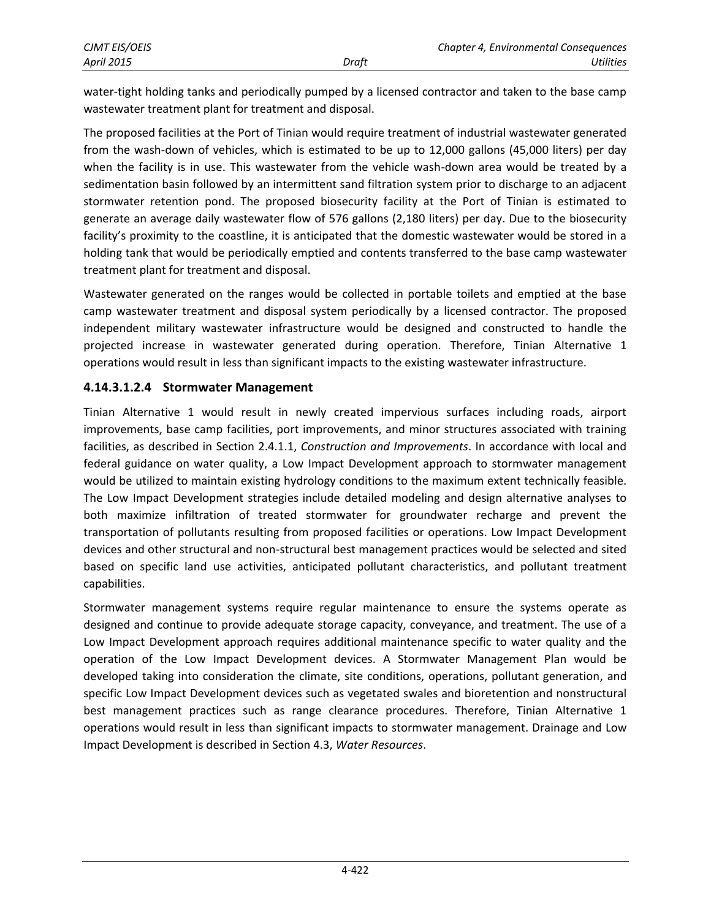water-tight holding tanks and periodically pumped by a licensed contractor and taken to the base camp wastewater treatment plant for treatment and disposal.

The proposed facilities at the Port of Tinian would require treatment of industrial wastewater generated from the wash-down of vehicles, which is estimated to be up to 12,000 gallons (45,000 liters) per day when the facility is in use. This wastewater from the vehicle wash-down area would be treated by a sedimentation basin followed by an intermittent sand filtration system prior to discharge to an adjacent stormwater retention pond. The proposed biosecurity facility at the Port of Tinian is estimated to generate an average daily wastewater flow of 576 gallons (2,180 liters) per day. Due to the biosecurity facility's proximity to the coastline, it is anticipated that the domestic wastewater would be stored in a holding tank that would be periodically emptied and contents transferred to the base camp wastewater treatment plant for treatment and disposal.

Wastewater generated on the ranges would be collected in portable toilets and emptied at the base camp wastewater treatment and disposal system periodically by a licensed contractor. The proposed independent military wastewater infrastructure would be designed and constructed to handle the projected increase in wastewater generated during operation. Therefore, Tinian Alternative 1 operations would result in less than significant impacts to the existing wastewater infrastructure.

### **4.14.3.1.2.4 Stormwater Management**

Tinian Alternative 1 would result in newly created impervious surfaces including roads, airport improvements, base camp facilities, port improvements, and minor structures associated with training facilities, as described in Section 2.4.1.1, *Construction and Improvements*. In accordance with local and federal guidance on water quality, a Low Impact Development approach to stormwater management would be utilized to maintain existing hydrology conditions to the maximum extent technically feasible. The Low Impact Development strategies include detailed modeling and design alternative analyses to both maximize infiltration of treated stormwater for groundwater recharge and prevent the transportation of pollutants resulting from proposed facilities or operations. Low Impact Development devices and other structural and non-structural best management practices would be selected and sited based on specific land use activities, anticipated pollutant characteristics, and pollutant treatment capabilities.

Stormwater management systems require regular maintenance to ensure the systems operate as designed and continue to provide adequate storage capacity, conveyance, and treatment. The use of a Low Impact Development approach requires additional maintenance specific to water quality and the operation of the Low Impact Development devices. A Stormwater Management Plan would be developed taking into consideration the climate, site conditions, operations, pollutant generation, and specific Low Impact Development devices such as vegetated swales and bioretention and nonstructural best management practices such as range clearance procedures. Therefore, Tinian Alternative 1 operations would result in less than significant impacts to stormwater management. Drainage and Low Impact Development is described in Section 4.3, *Water Resources*.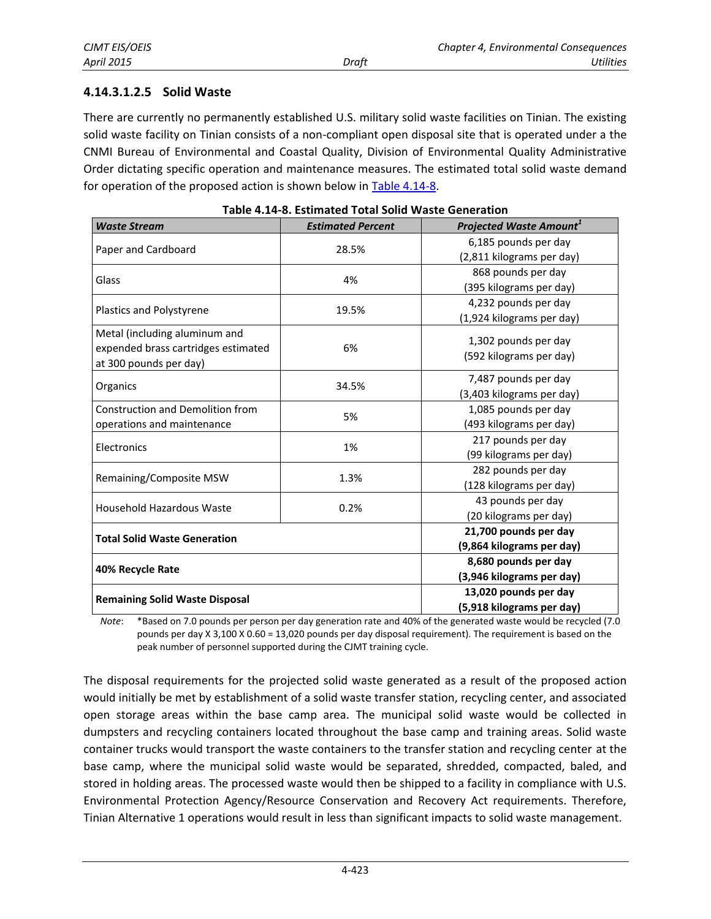### **4.14.3.1.2.5 Solid Waste**

There are currently no permanently established U.S. military solid waste facilities on Tinian. The existing solid waste facility on Tinian consists of a non-compliant open disposal site that is operated under a the CNMI Bureau of Environmental and Coastal Quality, Division of Environmental Quality Administrative Order dictating specific operation and maintenance measures. The estimated total solid waste demand for operation of the proposed action is shown below in [Table 4.14-8.](#page-13-0)

| <b>Waste Stream</b>                     | <b>Estimated Percent</b> | <b>Projected Waste Amount</b> <sup>1</sup> |
|-----------------------------------------|--------------------------|--------------------------------------------|
| Paper and Cardboard                     | 28.5%                    | 6,185 pounds per day                       |
|                                         |                          | (2,811 kilograms per day)                  |
| Glass                                   | 4%                       | 868 pounds per day                         |
|                                         |                          | (395 kilograms per day)                    |
|                                         |                          | 4,232 pounds per day                       |
| Plastics and Polystyrene                | 19.5%                    | (1,924 kilograms per day)                  |
| Metal (including aluminum and           |                          |                                            |
| expended brass cartridges estimated     | 6%                       | 1,302 pounds per day                       |
| at 300 pounds per day)                  |                          | (592 kilograms per day)                    |
|                                         |                          | 7,487 pounds per day                       |
| Organics                                | 34.5%                    | (3,403 kilograms per day)                  |
| <b>Construction and Demolition from</b> |                          | 1,085 pounds per day                       |
| operations and maintenance              | 5%                       | (493 kilograms per day)                    |
|                                         | 1%                       | 217 pounds per day                         |
| Electronics                             |                          | (99 kilograms per day)                     |
| Remaining/Composite MSW                 | 1.3%                     | 282 pounds per day                         |
|                                         |                          | (128 kilograms per day)                    |
| <b>Household Hazardous Waste</b>        | 0.2%                     | 43 pounds per day                          |
|                                         |                          | (20 kilograms per day)                     |
| <b>Total Solid Waste Generation</b>     |                          | 21,700 pounds per day                      |
|                                         |                          | (9,864 kilograms per day)                  |
| 40% Recycle Rate                        |                          | 8,680 pounds per day                       |
|                                         |                          | (3,946 kilograms per day)                  |
|                                         |                          | 13,020 pounds per day                      |
| <b>Remaining Solid Waste Disposal</b>   |                          | (5,918 kilograms per day)                  |

<span id="page-13-0"></span>

| Table 4.14-8. Estimated Total Solid Waste Generation |  |  |  |  |
|------------------------------------------------------|--|--|--|--|
|------------------------------------------------------|--|--|--|--|

*Note*: \*Based on 7.0 pounds per person per day generation rate and 40% of the generated waste would be recycled (7.0 pounds per day X 3,100 X 0.60 = 13,020 pounds per day disposal requirement). The requirement is based on the peak number of personnel supported during the CJMT training cycle.

The disposal requirements for the projected solid waste generated as a result of the proposed action would initially be met by establishment of a solid waste transfer station, recycling center, and associated open storage areas within the base camp area. The municipal solid waste would be collected in dumpsters and recycling containers located throughout the base camp and training areas. Solid waste container trucks would transport the waste containers to the transfer station and recycling center at the base camp, where the municipal solid waste would be separated, shredded, compacted, baled, and stored in holding areas. The processed waste would then be shipped to a facility in compliance with U.S. Environmental Protection Agency/Resource Conservation and Recovery Act requirements. Therefore, Tinian Alternative 1 operations would result in less than significant impacts to solid waste management.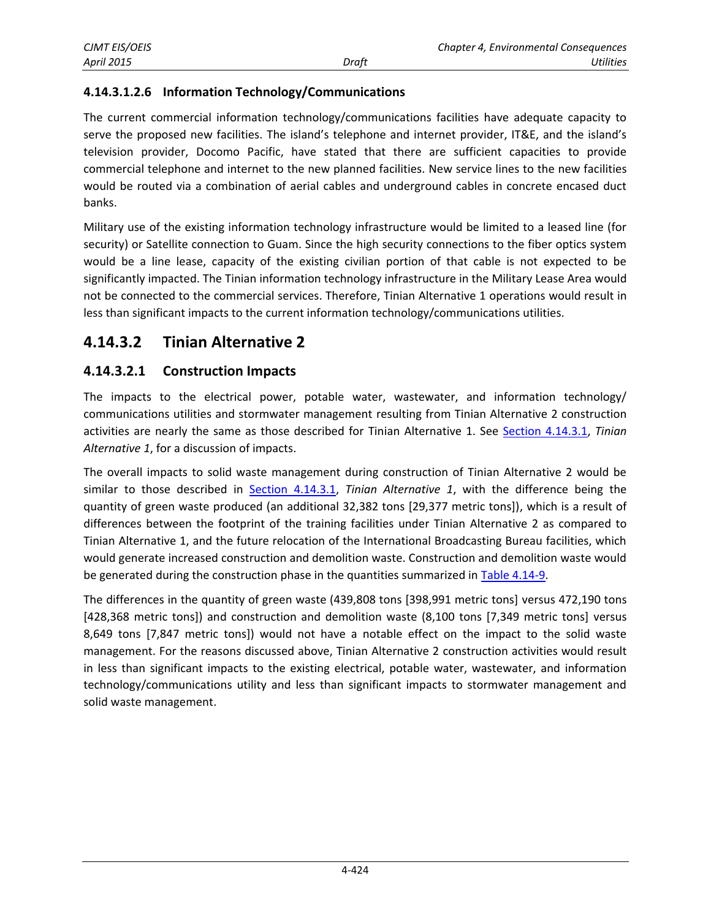### **4.14.3.1.2.6 Information Technology/Communications**

The current commercial information technology/communications facilities have adequate capacity to serve the proposed new facilities. The island's telephone and internet provider, IT&E, and the island's television provider, Docomo Pacific, have stated that there are sufficient capacities to provide commercial telephone and internet to the new planned facilities. New service lines to the new facilities would be routed via a combination of aerial cables and underground cables in concrete encased duct banks.

Military use of the existing information technology infrastructure would be limited to a leased line (for security) or Satellite connection to Guam. Since the high security connections to the fiber optics system would be a line lease, capacity of the existing civilian portion of that cable is not expected to be significantly impacted. The Tinian information technology infrastructure in the Military Lease Area would not be connected to the commercial services. Therefore, Tinian Alternative 1 operations would result in less than significant impacts to the current information technology/communications utilities.

### **4.14.3.2 Tinian Alternative 2**

### **4.14.3.2.1 Construction Impacts**

The impacts to the electrical power, potable water, wastewater, and information technology/ communications utilities and stormwater management resulting from Tinian Alternative 2 construction activities are nearly the same as those described for Tinian Alternative 1. See [Section 4.14.3.1,](#page-2-0) *Tinian Alternative 1*, for a discussion of impacts.

The overall impacts to solid waste management during construction of Tinian Alternative 2 would be similar to those described in [Section 4.14.3.1,](#page-2-0) *Tinian Alternative 1*, with the difference being the quantity of green waste produced (an additional 32,382 tons [29,377 metric tons]), which is a result of differences between the footprint of the training facilities under Tinian Alternative 2 as compared to Tinian Alternative 1, and the future relocation of the International Broadcasting Bureau facilities, which would generate increased construction and demolition waste. Construction and demolition waste would be generated during the construction phase in the quantities summarized in [Table 4.14-9.](#page-15-0)

The differences in the quantity of green waste (439,808 tons [398,991 metric tons] versus 472,190 tons [428,368 metric tons]) and construction and demolition waste (8,100 tons [7,349 metric tons] versus 8,649 tons [7,847 metric tons]) would not have a notable effect on the impact to the solid waste management. For the reasons discussed above, Tinian Alternative 2 construction activities would result in less than significant impacts to the existing electrical, potable water, wastewater, and information technology/communications utility and less than significant impacts to stormwater management and solid waste management.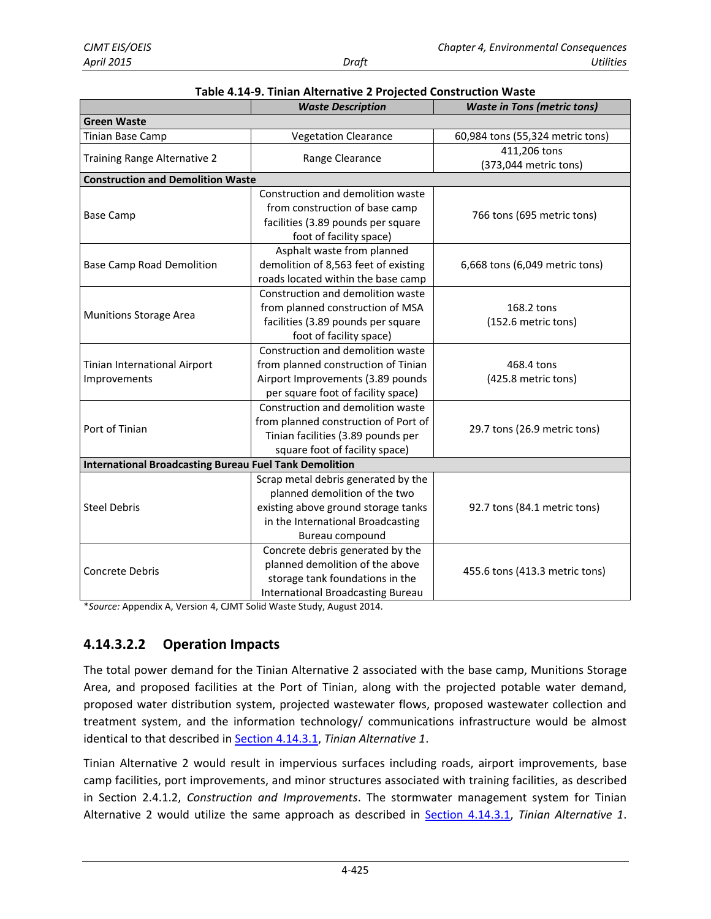|                                                               | <b>Waste Description</b>                                                                                                                                            | <b>Waste in Tons (metric tons)</b>    |  |  |  |  |
|---------------------------------------------------------------|---------------------------------------------------------------------------------------------------------------------------------------------------------------------|---------------------------------------|--|--|--|--|
| <b>Green Waste</b>                                            |                                                                                                                                                                     |                                       |  |  |  |  |
| Tinian Base Camp                                              | <b>Vegetation Clearance</b>                                                                                                                                         | 60,984 tons (55,324 metric tons)      |  |  |  |  |
| Training Range Alternative 2                                  | Range Clearance                                                                                                                                                     | 411,206 tons<br>(373,044 metric tons) |  |  |  |  |
| <b>Construction and Demolition Waste</b>                      |                                                                                                                                                                     |                                       |  |  |  |  |
| <b>Base Camp</b>                                              | Construction and demolition waste<br>from construction of base camp<br>facilities (3.89 pounds per square<br>foot of facility space)                                | 766 tons (695 metric tons)            |  |  |  |  |
| <b>Base Camp Road Demolition</b>                              | Asphalt waste from planned<br>demolition of 8,563 feet of existing<br>roads located within the base camp                                                            | 6,668 tons (6,049 metric tons)        |  |  |  |  |
| <b>Munitions Storage Area</b>                                 | Construction and demolition waste<br>from planned construction of MSA<br>facilities (3.89 pounds per square<br>foot of facility space)                              | 168.2 tons<br>(152.6 metric tons)     |  |  |  |  |
| Tinian International Airport<br>Improvements                  | Construction and demolition waste<br>from planned construction of Tinian<br>Airport Improvements (3.89 pounds<br>per square foot of facility space)                 | 468.4 tons<br>(425.8 metric tons)     |  |  |  |  |
| Port of Tinian                                                | Construction and demolition waste<br>from planned construction of Port of<br>Tinian facilities (3.89 pounds per<br>square foot of facility space)                   | 29.7 tons (26.9 metric tons)          |  |  |  |  |
| <b>International Broadcasting Bureau Fuel Tank Demolition</b> |                                                                                                                                                                     |                                       |  |  |  |  |
| <b>Steel Debris</b>                                           | Scrap metal debris generated by the<br>planned demolition of the two<br>existing above ground storage tanks<br>in the International Broadcasting<br>Bureau compound | 92.7 tons (84.1 metric tons)          |  |  |  |  |
| Concrete Debris                                               | Concrete debris generated by the<br>planned demolition of the above<br>storage tank foundations in the<br>International Broadcasting Bureau                         | 455.6 tons (413.3 metric tons)        |  |  |  |  |

<span id="page-15-0"></span>

| Table 4.14-9. Tinian Alternative 2 Projected Construction Waste |  |
|-----------------------------------------------------------------|--|
|-----------------------------------------------------------------|--|

\**Source:* Appendix A, Version 4, CJMT Solid Waste Study, August 2014.

### **4.14.3.2.2 Operation Impacts**

The total power demand for the Tinian Alternative 2 associated with the base camp, Munitions Storage Area, and proposed facilities at the Port of Tinian, along with the projected potable water demand, proposed water distribution system, projected wastewater flows, proposed wastewater collection and treatment system, and the information technology/ communications infrastructure would be almost identical to that described in [Section 4.14.3.1,](#page-2-0) *Tinian Alternative 1*.

Tinian Alternative 2 would result in impervious surfaces including roads, airport improvements, base camp facilities, port improvements, and minor structures associated with training facilities, as described in Section 2.4.1.2, *Construction and Improvements*. The stormwater management system for Tinian Alternative 2 would utilize the same approach as described in [Section 4.14.3.1,](#page-2-0) *Tinian Alternative 1*.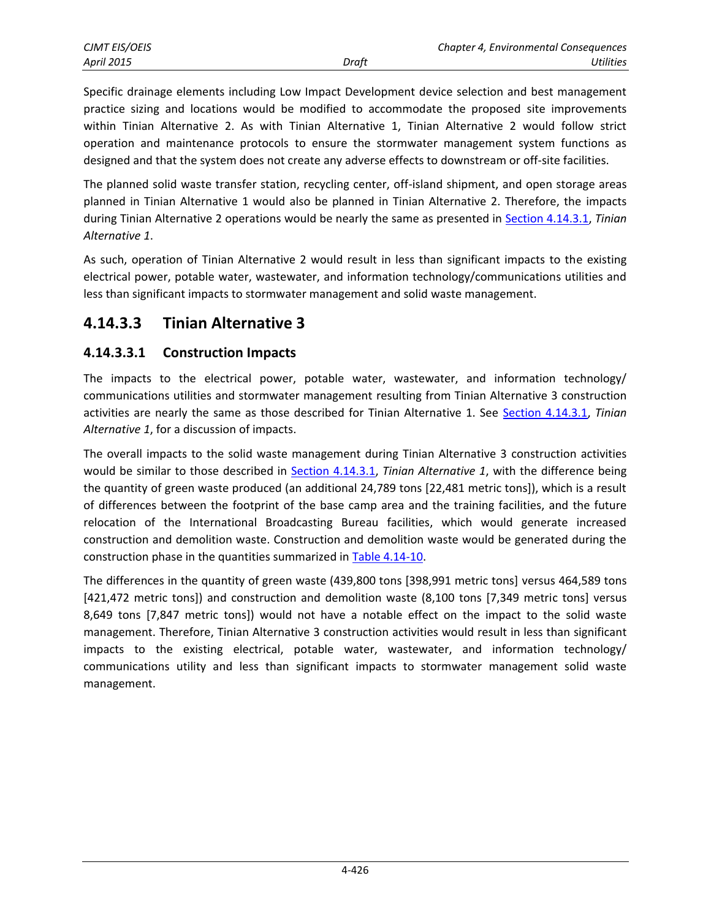Specific drainage elements including Low Impact Development device selection and best management practice sizing and locations would be modified to accommodate the proposed site improvements within Tinian Alternative 2. As with Tinian Alternative 1, Tinian Alternative 2 would follow strict operation and maintenance protocols to ensure the stormwater management system functions as designed and that the system does not create any adverse effects to downstream or off-site facilities.

The planned solid waste transfer station, recycling center, off-island shipment, and open storage areas planned in Tinian Alternative 1 would also be planned in Tinian Alternative 2. Therefore, the impacts during Tinian Alternative 2 operations would be nearly the same as presented in [Section 4.14.3.1,](#page-2-0) *Tinian Alternative 1*.

As such, operation of Tinian Alternative 2 would result in less than significant impacts to the existing electrical power, potable water, wastewater, and information technology/communications utilities and less than significant impacts to stormwater management and solid waste management.

# **4.14.3.3 Tinian Alternative 3**

### **4.14.3.3.1 Construction Impacts**

The impacts to the electrical power, potable water, wastewater, and information technology/ communications utilities and stormwater management resulting from Tinian Alternative 3 construction activities are nearly the same as those described for Tinian Alternative 1. See [Section 4.14.3.1,](#page-2-0) *Tinian Alternative 1*, for a discussion of impacts.

The overall impacts to the solid waste management during Tinian Alternative 3 construction activities would be similar to those described in [Section 4.14.3.1,](#page-2-0) *Tinian Alternative 1*, with the difference being the quantity of green waste produced (an additional 24,789 tons [22,481 metric tons]), which is a result of differences between the footprint of the base camp area and the training facilities, and the future relocation of the International Broadcasting Bureau facilities, which would generate increased construction and demolition waste. Construction and demolition waste would be generated during the construction phase in the quantities summarized in [Table 4.14-10.](#page-17-0)

The differences in the quantity of green waste (439,800 tons [398,991 metric tons] versus 464,589 tons [421,472 metric tons]) and construction and demolition waste (8,100 tons [7,349 metric tons] versus 8,649 tons [7,847 metric tons]) would not have a notable effect on the impact to the solid waste management. Therefore, Tinian Alternative 3 construction activities would result in less than significant impacts to the existing electrical, potable water, wastewater, and information technology/ communications utility and less than significant impacts to stormwater management solid waste management.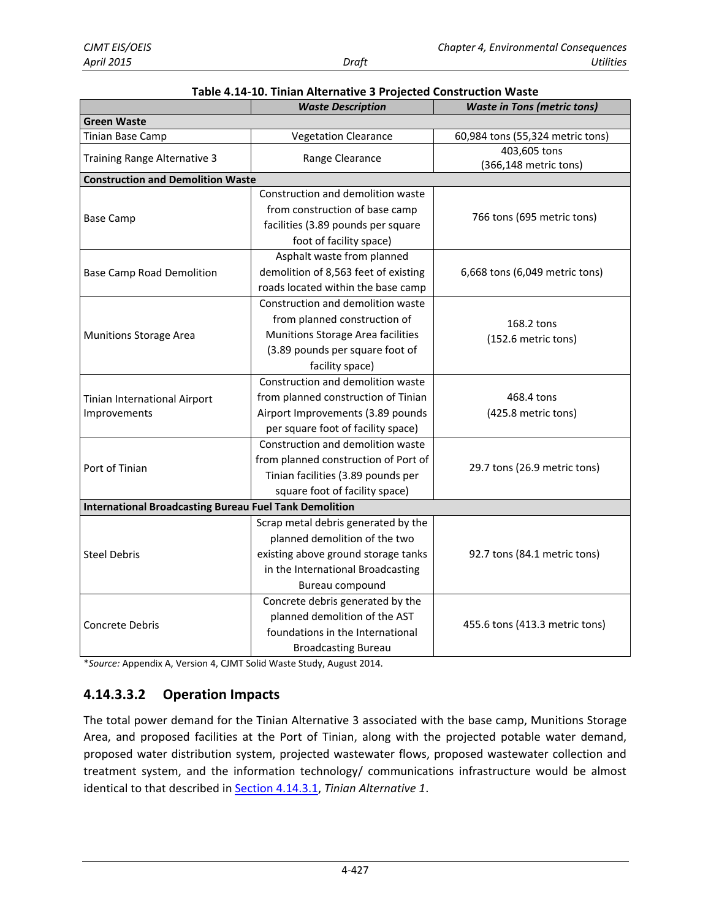|                                                               | <b>Waste Description</b>             | <b>Waste in Tons (metric tons)</b>    |  |  |
|---------------------------------------------------------------|--------------------------------------|---------------------------------------|--|--|
| Green Waste                                                   |                                      |                                       |  |  |
| Tinian Base Camp                                              | <b>Vegetation Clearance</b>          | 60,984 tons (55,324 metric tons)      |  |  |
| Training Range Alternative 3                                  | Range Clearance                      | 403,605 tons<br>(366,148 metric tons) |  |  |
| <b>Construction and Demolition Waste</b>                      |                                      |                                       |  |  |
|                                                               | Construction and demolition waste    |                                       |  |  |
|                                                               | from construction of base camp       | 766 tons (695 metric tons)            |  |  |
| <b>Base Camp</b>                                              | facilities (3.89 pounds per square   |                                       |  |  |
|                                                               | foot of facility space)              |                                       |  |  |
|                                                               | Asphalt waste from planned           |                                       |  |  |
| <b>Base Camp Road Demolition</b>                              | demolition of 8,563 feet of existing | 6,668 tons (6,049 metric tons)        |  |  |
|                                                               | roads located within the base camp   |                                       |  |  |
|                                                               | Construction and demolition waste    |                                       |  |  |
|                                                               | from planned construction of         | 168.2 tons                            |  |  |
| <b>Munitions Storage Area</b>                                 | Munitions Storage Area facilities    | (152.6 metric tons)                   |  |  |
|                                                               | (3.89 pounds per square foot of      |                                       |  |  |
|                                                               | facility space)                      |                                       |  |  |
|                                                               | Construction and demolition waste    |                                       |  |  |
| Tinian International Airport                                  | from planned construction of Tinian  | 468.4 tons                            |  |  |
| Improvements                                                  | Airport Improvements (3.89 pounds    | (425.8 metric tons)                   |  |  |
|                                                               | per square foot of facility space)   |                                       |  |  |
|                                                               | Construction and demolition waste    |                                       |  |  |
| Port of Tinian                                                | from planned construction of Port of | 29.7 tons (26.9 metric tons)          |  |  |
|                                                               | Tinian facilities (3.89 pounds per   |                                       |  |  |
|                                                               | square foot of facility space)       |                                       |  |  |
| <b>International Broadcasting Bureau Fuel Tank Demolition</b> |                                      |                                       |  |  |
|                                                               | Scrap metal debris generated by the  |                                       |  |  |
|                                                               | planned demolition of the two        |                                       |  |  |
| <b>Steel Debris</b>                                           | existing above ground storage tanks  | 92.7 tons (84.1 metric tons)          |  |  |
|                                                               | in the International Broadcasting    |                                       |  |  |
|                                                               | Bureau compound                      |                                       |  |  |
|                                                               | Concrete debris generated by the     |                                       |  |  |
| <b>Concrete Debris</b>                                        | planned demolition of the AST        | 455.6 tons (413.3 metric tons)        |  |  |
|                                                               | foundations in the International     |                                       |  |  |
|                                                               | <b>Broadcasting Bureau</b>           |                                       |  |  |

#### <span id="page-17-0"></span>**Table 4.14-10. Tinian Alternative 3 Projected Construction Waste**

\**Source:* Appendix A, Version 4, CJMT Solid Waste Study, August 2014.

### **4.14.3.3.2 Operation Impacts**

The total power demand for the Tinian Alternative 3 associated with the base camp, Munitions Storage Area, and proposed facilities at the Port of Tinian, along with the projected potable water demand, proposed water distribution system, projected wastewater flows, proposed wastewater collection and treatment system, and the information technology/ communications infrastructure would be almost identical to that described in [Section 4.14.3.1,](#page-2-0) *Tinian Alternative 1*.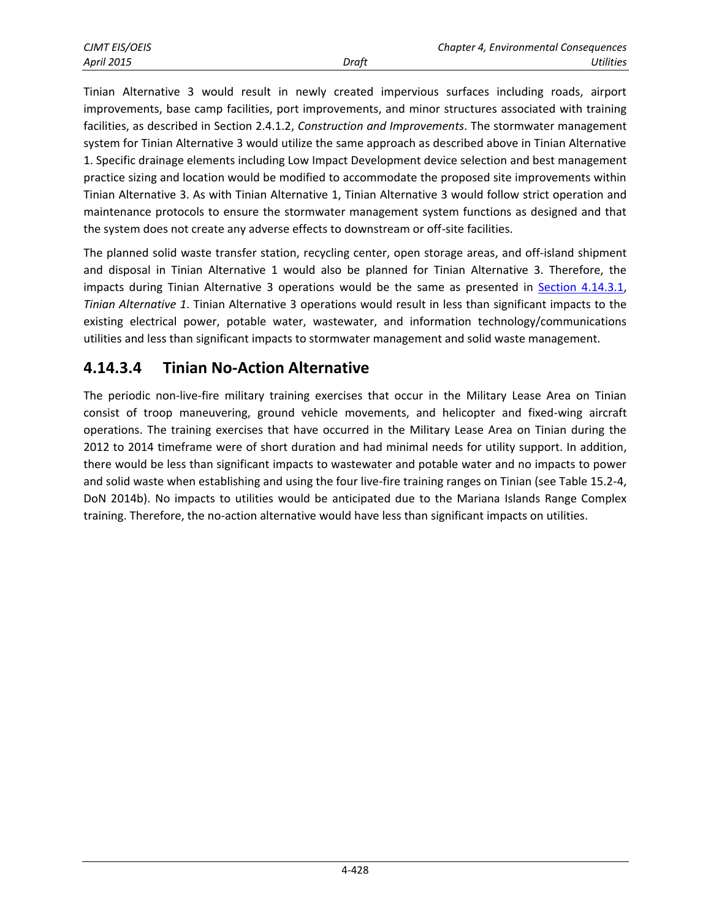Tinian Alternative 3 would result in newly created impervious surfaces including roads, airport improvements, base camp facilities, port improvements, and minor structures associated with training facilities, as described in Section 2.4.1.2, *Construction and Improvements*. The stormwater management system for Tinian Alternative 3 would utilize the same approach as described above in Tinian Alternative 1. Specific drainage elements including Low Impact Development device selection and best management practice sizing and location would be modified to accommodate the proposed site improvements within Tinian Alternative 3. As with Tinian Alternative 1, Tinian Alternative 3 would follow strict operation and maintenance protocols to ensure the stormwater management system functions as designed and that the system does not create any adverse effects to downstream or off-site facilities.

The planned solid waste transfer station, recycling center, open storage areas, and off-island shipment and disposal in Tinian Alternative 1 would also be planned for Tinian Alternative 3. Therefore, the impacts during Tinian Alternative 3 operations would be the same as presented in [Section 4.14.3.1,](#page-2-0) *Tinian Alternative 1*. Tinian Alternative 3 operations would result in less than significant impacts to the existing electrical power, potable water, wastewater, and information technology/communications utilities and less than significant impacts to stormwater management and solid waste management.

# **4.14.3.4 Tinian No-Action Alternative**

The periodic non-live-fire military training exercises that occur in the Military Lease Area on Tinian consist of troop maneuvering, ground vehicle movements, and helicopter and fixed-wing aircraft operations. The training exercises that have occurred in the Military Lease Area on Tinian during the 2012 to 2014 timeframe were of short duration and had minimal needs for utility support. In addition, there would be less than significant impacts to wastewater and potable water and no impacts to power and solid waste when establishing and using the four live-fire training ranges on Tinian (see Table 15.2-4, DoN 2014b). No impacts to utilities would be anticipated due to the Mariana Islands Range Complex training. Therefore, the no-action alternative would have less than significant impacts on utilities.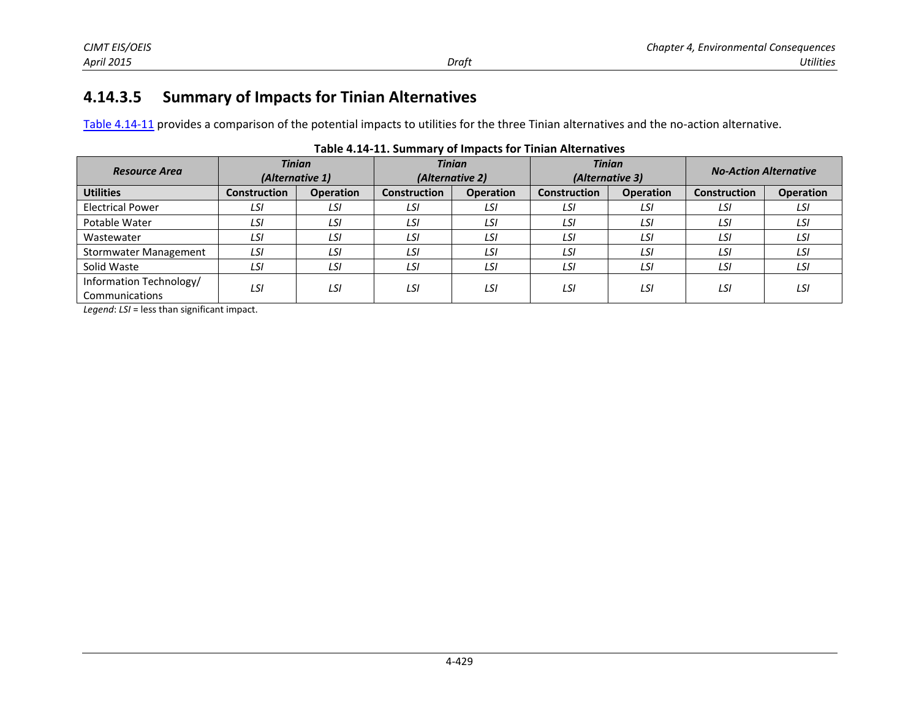# **4.14.3.5 Summary of Impacts for Tinian Alternatives**

[Table 4.14-11](#page-19-0) provides a comparison of the potential impacts to utilities for the three Tinian alternatives and the no-action alternative.

| <b>Tinian</b><br>(Alternative 1) |                  | <b>Tinian</b><br>(Alternative 2) |                  | <b>Tinian</b><br>(Alternative 3) |                  | <b>No-Action Alternative</b> |                  |
|----------------------------------|------------------|----------------------------------|------------------|----------------------------------|------------------|------------------------------|------------------|
| <b>Construction</b>              | <b>Operation</b> | <b>Construction</b>              | <b>Operation</b> | <b>Construction</b>              | <b>Operation</b> | <b>Construction</b>          | <b>Operation</b> |
| LSI                              | LSI              | LSI                              | LSI              | LSI                              | LSI              | LSI                          | LSI              |
| LSI                              | LSI              | LSI                              | LSI              | LSI                              | LSI              | LSI                          | LSI              |
| LSI                              | LSI              | LSI                              | LSI              | LSI                              | LSI              | LSI                          | LSI              |
| LSI                              | LSI              | LSI                              | LSI              | LSI                              | LSI              | LSI                          | LSI              |
| LSI                              | LSI              | LSI                              | LSI              | LSI                              | LSI              | LSI                          | LSI              |
| LSI                              | LSI              | LSI                              | LSI              | LSI                              | LSI              | LSI                          | LSI              |
|                                  |                  |                                  |                  |                                  |                  |                              |                  |

#### <span id="page-19-0"></span>**Table 4.14-11. Summary of Impacts for Tinian Alternatives**

*Legend*: *LSI* = less than significant impact.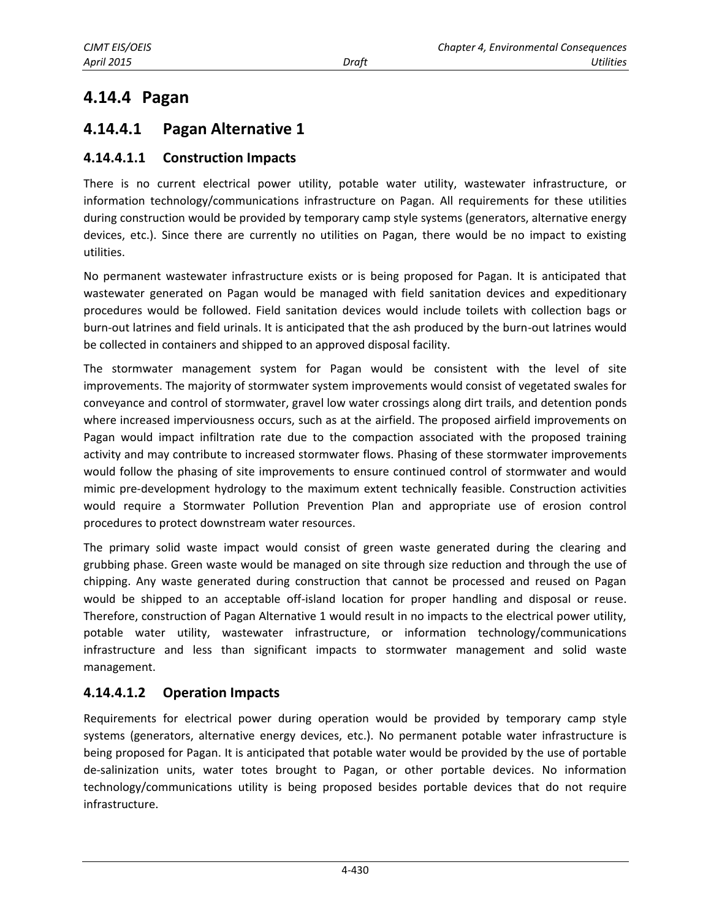# **4.14.4 Pagan**

# <span id="page-20-0"></span>**4.14.4.1 Pagan Alternative 1**

### **4.14.4.1.1 Construction Impacts**

There is no current electrical power utility, potable water utility, wastewater infrastructure, or information technology/communications infrastructure on Pagan. All requirements for these utilities during construction would be provided by temporary camp style systems (generators, alternative energy devices, etc.). Since there are currently no utilities on Pagan, there would be no impact to existing utilities.

No permanent wastewater infrastructure exists or is being proposed for Pagan. It is anticipated that wastewater generated on Pagan would be managed with field sanitation devices and expeditionary procedures would be followed. Field sanitation devices would include toilets with collection bags or burn-out latrines and field urinals. It is anticipated that the ash produced by the burn-out latrines would be collected in containers and shipped to an approved disposal facility.

The stormwater management system for Pagan would be consistent with the level of site improvements. The majority of stormwater system improvements would consist of vegetated swales for conveyance and control of stormwater, gravel low water crossings along dirt trails, and detention ponds where increased imperviousness occurs, such as at the airfield. The proposed airfield improvements on Pagan would impact infiltration rate due to the compaction associated with the proposed training activity and may contribute to increased stormwater flows. Phasing of these stormwater improvements would follow the phasing of site improvements to ensure continued control of stormwater and would mimic pre-development hydrology to the maximum extent technically feasible. Construction activities would require a Stormwater Pollution Prevention Plan and appropriate use of erosion control procedures to protect downstream water resources.

The primary solid waste impact would consist of green waste generated during the clearing and grubbing phase. Green waste would be managed on site through size reduction and through the use of chipping. Any waste generated during construction that cannot be processed and reused on Pagan would be shipped to an acceptable off-island location for proper handling and disposal or reuse. Therefore, construction of Pagan Alternative 1 would result in no impacts to the electrical power utility, potable water utility, wastewater infrastructure, or information technology/communications infrastructure and less than significant impacts to stormwater management and solid waste management.

### **4.14.4.1.2 Operation Impacts**

Requirements for electrical power during operation would be provided by temporary camp style systems (generators, alternative energy devices, etc.). No permanent potable water infrastructure is being proposed for Pagan. It is anticipated that potable water would be provided by the use of portable de-salinization units, water totes brought to Pagan, or other portable devices. No information technology/communications utility is being proposed besides portable devices that do not require infrastructure.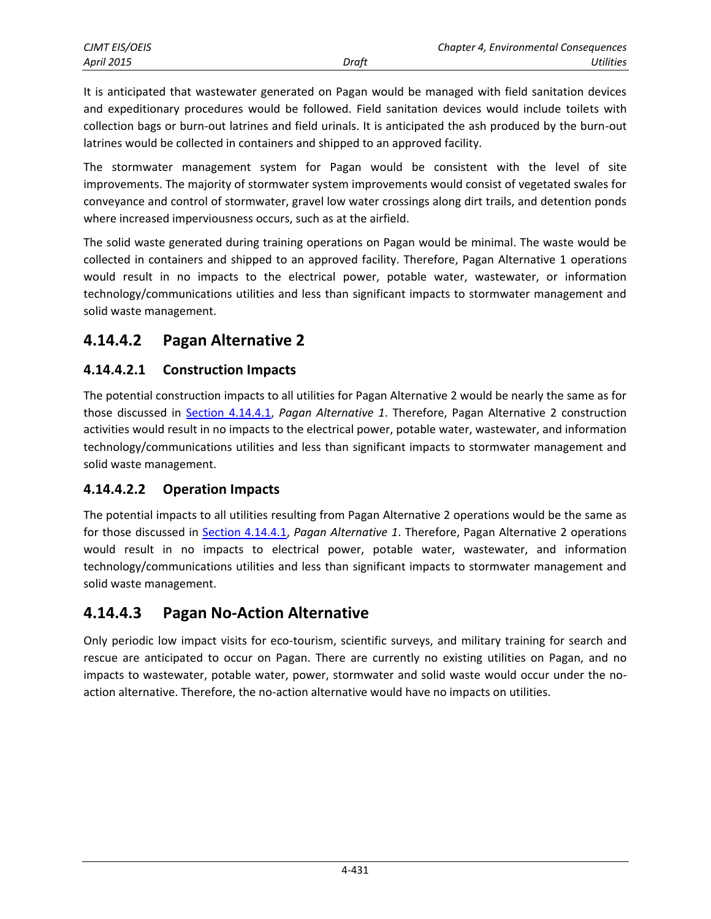It is anticipated that wastewater generated on Pagan would be managed with field sanitation devices and expeditionary procedures would be followed. Field sanitation devices would include toilets with collection bags or burn-out latrines and field urinals. It is anticipated the ash produced by the burn-out latrines would be collected in containers and shipped to an approved facility.

The stormwater management system for Pagan would be consistent with the level of site improvements. The majority of stormwater system improvements would consist of vegetated swales for conveyance and control of stormwater, gravel low water crossings along dirt trails, and detention ponds where increased imperviousness occurs, such as at the airfield.

The solid waste generated during training operations on Pagan would be minimal. The waste would be collected in containers and shipped to an approved facility. Therefore, Pagan Alternative 1 operations would result in no impacts to the electrical power, potable water, wastewater, or information technology/communications utilities and less than significant impacts to stormwater management and solid waste management.

# **4.14.4.2 Pagan Alternative 2**

### **4.14.4.2.1 Construction Impacts**

The potential construction impacts to all utilities for Pagan Alternative 2 would be nearly the same as for those discussed in [Section 4.14.4.1,](#page-20-0) *Pagan Alternative 1*. Therefore, Pagan Alternative 2 construction activities would result in no impacts to the electrical power, potable water, wastewater, and information technology/communications utilities and less than significant impacts to stormwater management and solid waste management.

### **4.14.4.2.2 Operation Impacts**

The potential impacts to all utilities resulting from Pagan Alternative 2 operations would be the same as for those discussed in [Section 4.14.4.1,](#page-20-0) *Pagan Alternative 1*. Therefore, Pagan Alternative 2 operations would result in no impacts to electrical power, potable water, wastewater, and information technology/communications utilities and less than significant impacts to stormwater management and solid waste management.

# **4.14.4.3 Pagan No-Action Alternative**

Only periodic low impact visits for eco-tourism, scientific surveys, and military training for search and rescue are anticipated to occur on Pagan. There are currently no existing utilities on Pagan, and no impacts to wastewater, potable water, power, stormwater and solid waste would occur under the noaction alternative. Therefore, the no-action alternative would have no impacts on utilities.